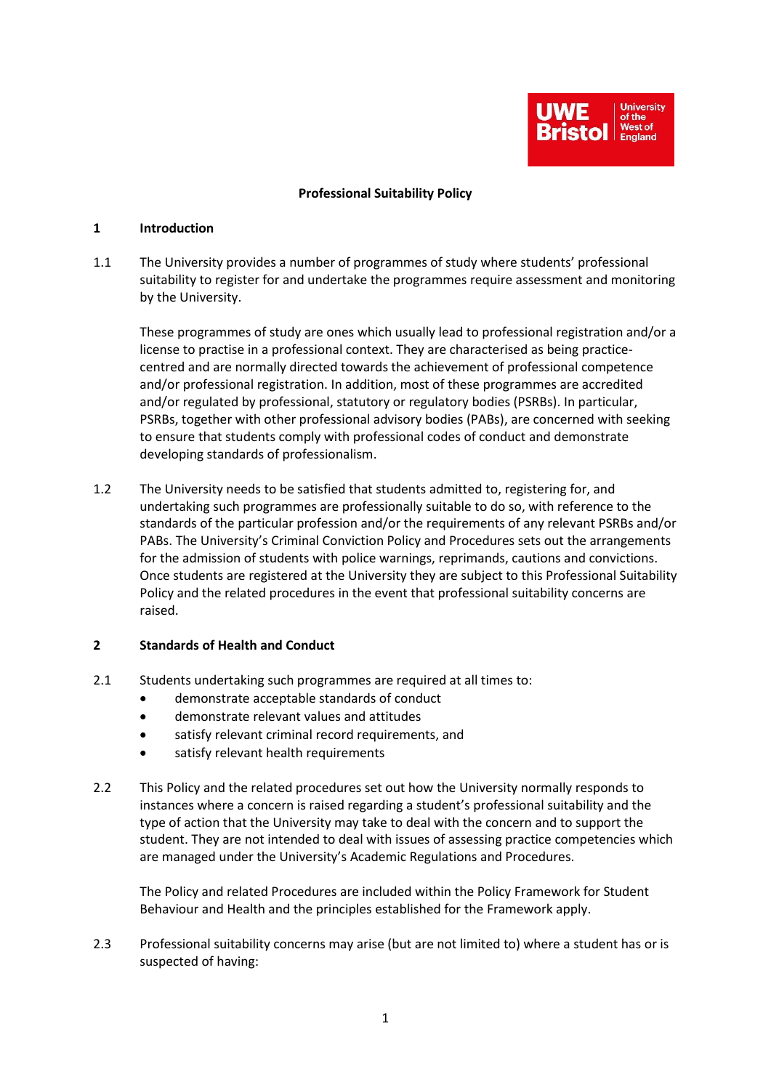

#### **Professional Suitability Policy**

#### **1 Introduction**

1.1 The University provides a number of programmes of study where students' professional suitability to register for and undertake the programmes require assessment and monitoring by the University.

These programmes of study are ones which usually lead to professional registration and/or a license to practise in a professional context. They are characterised as being practicecentred and are normally directed towards the achievement of professional competence and/or professional registration. In addition, most of these programmes are accredited and/or regulated by professional, statutory or regulatory bodies (PSRBs). In particular, PSRBs, together with other professional advisory bodies (PABs), are concerned with seeking to ensure that students comply with professional codes of conduct and demonstrate developing standards of professionalism.

1.2 The University needs to be satisfied that students admitted to, registering for, and undertaking such programmes are professionally suitable to do so, with reference to the standards of the particular profession and/or the requirements of any relevant PSRBs and/or PABs. The University's Criminal Conviction Policy and Procedures sets out the arrangements for the admission of students with police warnings, reprimands, cautions and convictions. Once students are registered at the University they are subject to this Professional Suitability Policy and the related procedures in the event that professional suitability concerns are raised.

# **2 Standards of Health and Conduct**

- 2.1 Students undertaking such programmes are required at all times to:
	- demonstrate acceptable standards of conduct
	- demonstrate relevant values and attitudes
	- satisfy relevant criminal record requirements, and
	- satisfy relevant health requirements
- 2.2 This Policy and the related procedures set out how the University normally responds to instances where a concern is raised regarding a student's professional suitability and the type of action that the University may take to deal with the concern and to support the student. They are not intended to deal with issues of assessing practice competencies which are managed under the University's Academic Regulations and Procedures.

The Policy and related Procedures are included within the Policy Framework for Student Behaviour and Health and the principles established for the Framework apply.

2.3 Professional suitability concerns may arise (but are not limited to) where a student has or is suspected of having: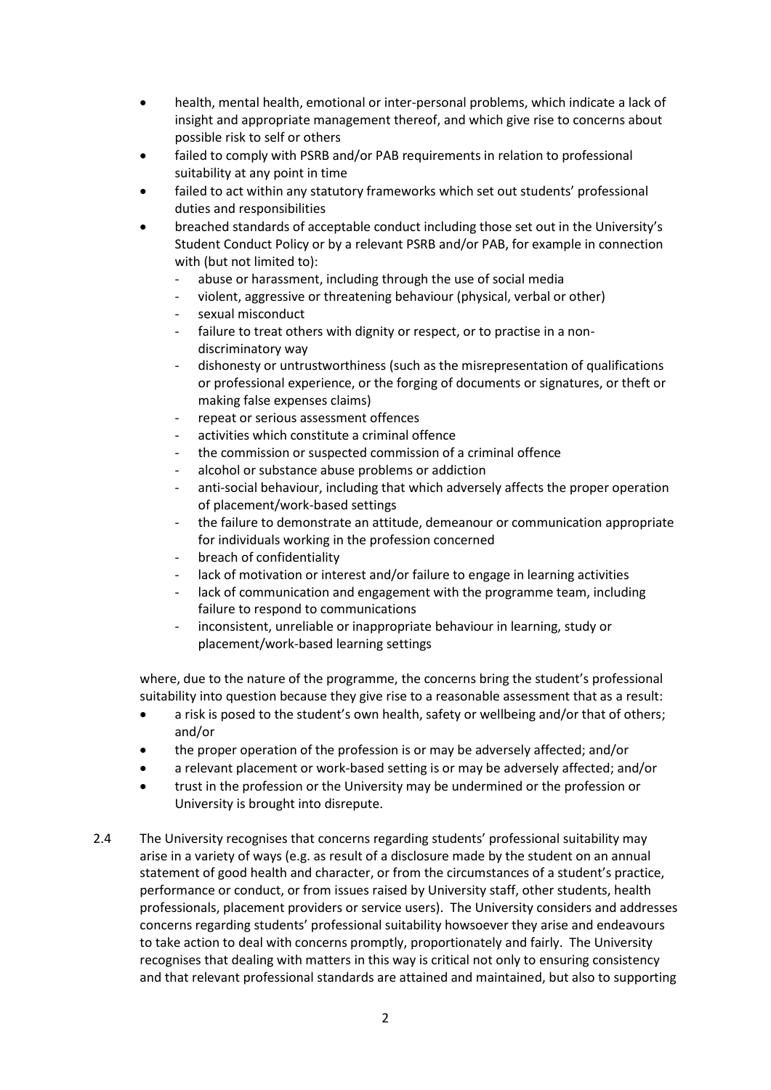- health, mental health, emotional or inter-personal problems, which indicate a lack of insight and appropriate management thereof, and which give rise to concerns about possible risk to self or others
- failed to comply with PSRB and/or PAB requirements in relation to professional suitability at any point in time
- failed to act within any statutory frameworks which set out students' professional duties and responsibilities
- breached standards of acceptable conduct including those set out in the University's Student Conduct Policy or by a relevant PSRB and/or PAB, for example in connection with (but not limited to):
	- abuse or harassment, including through the use of social media
	- violent, aggressive or threatening behaviour (physical, verbal or other)
	- sexual misconduct
	- failure to treat others with dignity or respect, or to practise in a nondiscriminatory way
	- dishonesty or untrustworthiness (such as the misrepresentation of qualifications or professional experience, or the forging of documents or signatures, or theft or making false expenses claims)
	- repeat or serious assessment offences
	- activities which constitute a criminal offence
	- the commission or suspected commission of a criminal offence
	- alcohol or substance abuse problems or addiction
	- anti-social behaviour, including that which adversely affects the proper operation of placement/work-based settings
	- the failure to demonstrate an attitude, demeanour or communication appropriate for individuals working in the profession concerned
	- breach of confidentiality
	- lack of motivation or interest and/or failure to engage in learning activities
	- lack of communication and engagement with the programme team, including failure to respond to communications
	- inconsistent, unreliable or inappropriate behaviour in learning, study or placement/work-based learning settings

where, due to the nature of the programme, the concerns bring the student's professional suitability into question because they give rise to a reasonable assessment that as a result:

- a risk is posed to the student's own health, safety or wellbeing and/or that of others; and/or
- the proper operation of the profession is or may be adversely affected; and/or
- a relevant placement or work-based setting is or may be adversely affected; and/or
- trust in the profession or the University may be undermined or the profession or University is brought into disrepute.
- 2.4 The University recognises that concerns regarding students' professional suitability may arise in a variety of ways (e.g. as result of a disclosure made by the student on an annual statement of good health and character, or from the circumstances of a student's practice, performance or conduct, or from issues raised by University staff, other students, health professionals, placement providers or service users). The University considers and addresses concerns regarding students' professional suitability howsoever they arise and endeavours to take action to deal with concerns promptly, proportionately and fairly. The University recognises that dealing with matters in this way is critical not only to ensuring consistency and that relevant professional standards are attained and maintained, but also to supporting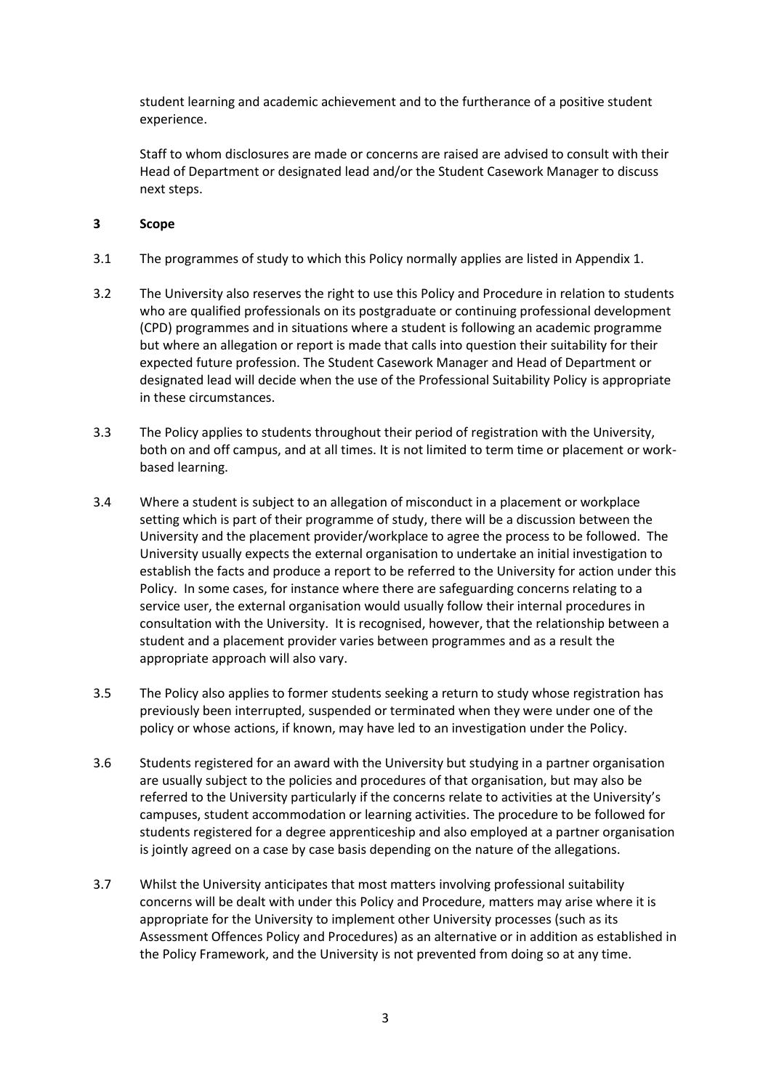student learning and academic achievement and to the furtherance of a positive student experience.

Staff to whom disclosures are made or concerns are raised are advised to consult with their Head of Department or designated lead and/or the Student Casework Manager to discuss next steps.

### **3 Scope**

- 3.1 The programmes of study to which this Policy normally applies are listed in Appendix 1.
- 3.2 The University also reserves the right to use this Policy and Procedure in relation to students who are qualified professionals on its postgraduate or continuing professional development (CPD) programmes and in situations where a student is following an academic programme but where an allegation or report is made that calls into question their suitability for their expected future profession. The Student Casework Manager and Head of Department or designated lead will decide when the use of the Professional Suitability Policy is appropriate in these circumstances.
- 3.3 The Policy applies to students throughout their period of registration with the University, both on and off campus, and at all times. It is not limited to term time or placement or workbased learning.
- 3.4 Where a student is subject to an allegation of misconduct in a placement or workplace setting which is part of their programme of study, there will be a discussion between the University and the placement provider/workplace to agree the process to be followed. The University usually expects the external organisation to undertake an initial investigation to establish the facts and produce a report to be referred to the University for action under this Policy. In some cases, for instance where there are safeguarding concerns relating to a service user, the external organisation would usually follow their internal procedures in consultation with the University. It is recognised, however, that the relationship between a student and a placement provider varies between programmes and as a result the appropriate approach will also vary.
- 3.5 The Policy also applies to former students seeking a return to study whose registration has previously been interrupted, suspended or terminated when they were under one of the policy or whose actions, if known, may have led to an investigation under the Policy.
- 3.6 Students registered for an award with the University but studying in a partner organisation are usually subject to the policies and procedures of that organisation, but may also be referred to the University particularly if the concerns relate to activities at the University's campuses, student accommodation or learning activities. The procedure to be followed for students registered for a degree apprenticeship and also employed at a partner organisation is jointly agreed on a case by case basis depending on the nature of the allegations.
- 3.7 Whilst the University anticipates that most matters involving professional suitability concerns will be dealt with under this Policy and Procedure, matters may arise where it is appropriate for the University to implement other University processes (such as its Assessment Offences Policy and Procedures) as an alternative or in addition as established in the Policy Framework, and the University is not prevented from doing so at any time.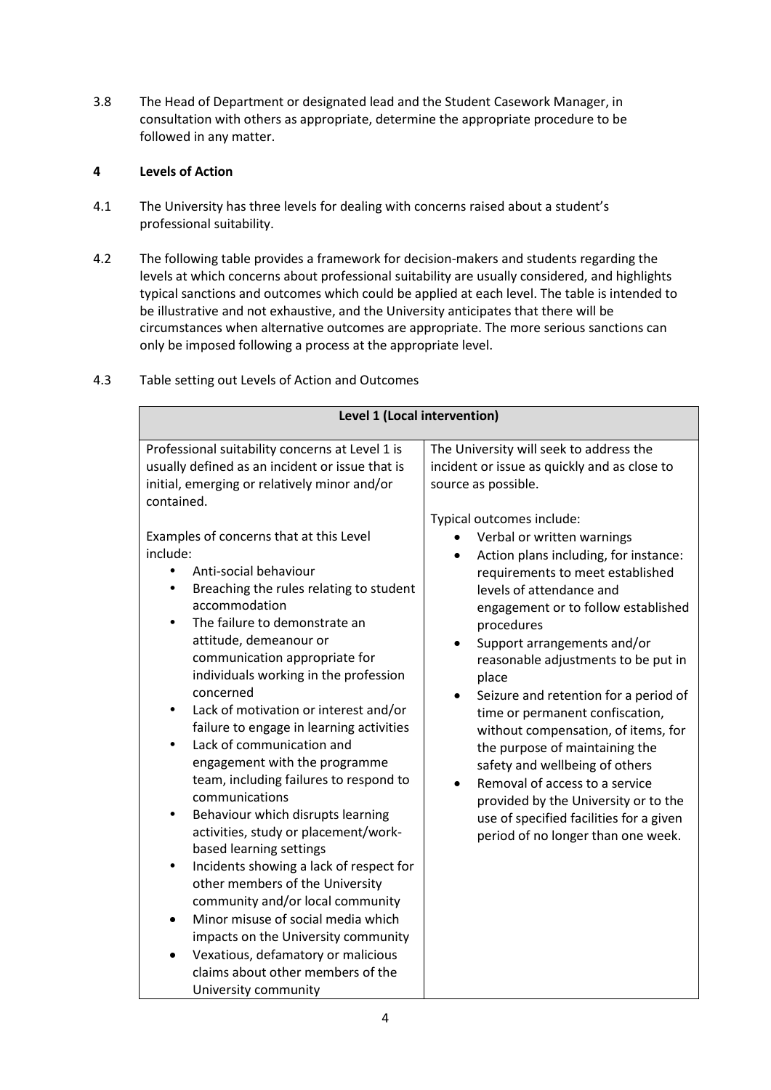3.8 The Head of Department or designated lead and the Student Casework Manager, in consultation with others as appropriate, determine the appropriate procedure to be followed in any matter.

# **4 Levels of Action**

- 4.1 The University has three levels for dealing with concerns raised about a student's professional suitability.
- 4.2 The following table provides a framework for decision-makers and students regarding the levels at which concerns about professional suitability are usually considered, and highlights typical sanctions and outcomes which could be applied at each level. The table is intended to be illustrative and not exhaustive, and the University anticipates that there will be circumstances when alternative outcomes are appropriate. The more serious sanctions can only be imposed following a process at the appropriate level.

4.3 Table setting out Levels of Action and Outcomes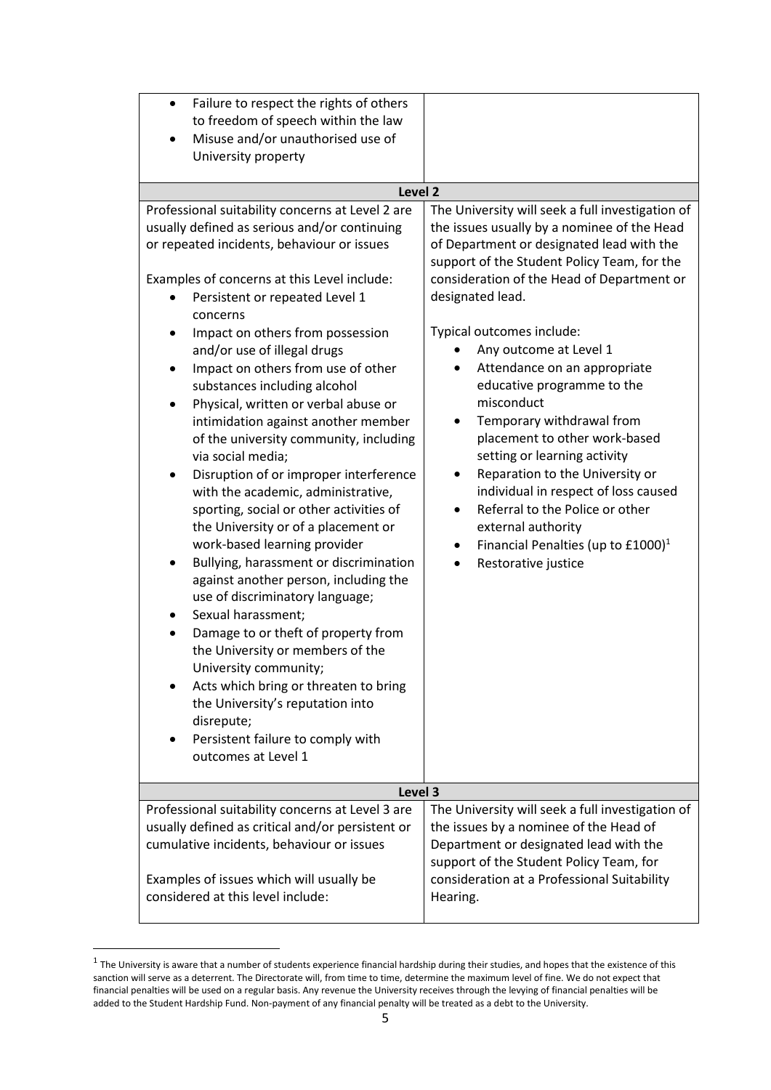| Failure to respect the rights of others<br>$\bullet$<br>to freedom of speech within the law<br>Misuse and/or unauthorised use of<br>University property                                                                                                                                                                                                                                                                                                                                                                                                                                                                                                                                                                                                                                                                                                                                                                                                                                                                                                                                                                                               |                                                                                                                                                                                                                                                                                                                                                                                                                                                                                                                                                                                                                                                                                                                  |
|-------------------------------------------------------------------------------------------------------------------------------------------------------------------------------------------------------------------------------------------------------------------------------------------------------------------------------------------------------------------------------------------------------------------------------------------------------------------------------------------------------------------------------------------------------------------------------------------------------------------------------------------------------------------------------------------------------------------------------------------------------------------------------------------------------------------------------------------------------------------------------------------------------------------------------------------------------------------------------------------------------------------------------------------------------------------------------------------------------------------------------------------------------|------------------------------------------------------------------------------------------------------------------------------------------------------------------------------------------------------------------------------------------------------------------------------------------------------------------------------------------------------------------------------------------------------------------------------------------------------------------------------------------------------------------------------------------------------------------------------------------------------------------------------------------------------------------------------------------------------------------|
| Level <sub>2</sub>                                                                                                                                                                                                                                                                                                                                                                                                                                                                                                                                                                                                                                                                                                                                                                                                                                                                                                                                                                                                                                                                                                                                    |                                                                                                                                                                                                                                                                                                                                                                                                                                                                                                                                                                                                                                                                                                                  |
| Professional suitability concerns at Level 2 are<br>usually defined as serious and/or continuing<br>or repeated incidents, behaviour or issues<br>Examples of concerns at this Level include:<br>Persistent or repeated Level 1<br>concerns<br>Impact on others from possession<br>and/or use of illegal drugs<br>Impact on others from use of other<br>substances including alcohol<br>Physical, written or verbal abuse or<br>intimidation against another member<br>of the university community, including<br>via social media;<br>Disruption of or improper interference<br>٠<br>with the academic, administrative,<br>sporting, social or other activities of<br>the University or of a placement or<br>work-based learning provider<br>Bullying, harassment or discrimination<br>against another person, including the<br>use of discriminatory language;<br>Sexual harassment;<br>Damage to or theft of property from<br>the University or members of the<br>University community;<br>Acts which bring or threaten to bring<br>the University's reputation into<br>disrepute;<br>Persistent failure to comply with<br>٠<br>outcomes at Level 1 | The University will seek a full investigation of<br>the issues usually by a nominee of the Head<br>of Department or designated lead with the<br>support of the Student Policy Team, for the<br>consideration of the Head of Department or<br>designated lead.<br>Typical outcomes include:<br>Any outcome at Level 1<br>Attendance on an appropriate<br>educative programme to the<br>misconduct<br>Temporary withdrawal from<br>placement to other work-based<br>setting or learning activity<br>Reparation to the University or<br>individual in respect of loss caused<br>Referral to the Police or other<br>external authority<br>Financial Penalties (up to £1000) <sup>1</sup><br>٠<br>Restorative justice |
| Level 3                                                                                                                                                                                                                                                                                                                                                                                                                                                                                                                                                                                                                                                                                                                                                                                                                                                                                                                                                                                                                                                                                                                                               |                                                                                                                                                                                                                                                                                                                                                                                                                                                                                                                                                                                                                                                                                                                  |
| Professional suitability concerns at Level 3 are<br>usually defined as critical and/or persistent or<br>cumulative incidents, behaviour or issues<br>Examples of issues which will usually be<br>considered at this level include:                                                                                                                                                                                                                                                                                                                                                                                                                                                                                                                                                                                                                                                                                                                                                                                                                                                                                                                    | The University will seek a full investigation of<br>the issues by a nominee of the Head of<br>Department or designated lead with the<br>support of the Student Policy Team, for<br>consideration at a Professional Suitability<br>Hearing.                                                                                                                                                                                                                                                                                                                                                                                                                                                                       |
|                                                                                                                                                                                                                                                                                                                                                                                                                                                                                                                                                                                                                                                                                                                                                                                                                                                                                                                                                                                                                                                                                                                                                       |                                                                                                                                                                                                                                                                                                                                                                                                                                                                                                                                                                                                                                                                                                                  |

 $^1$  The University is aware that a number of students experience financial hardship during their studies, and hopes that the existence of this sanction will serve as a deterrent. The Directorate will, from time to time, determine the maximum level of fine. We do not expect that financial penalties will be used on a regular basis. Any revenue the University receives through the levying of financial penalties will be added to the Student Hardship Fund. Non-payment of any financial penalty will be treated as a debt to the University.

**.**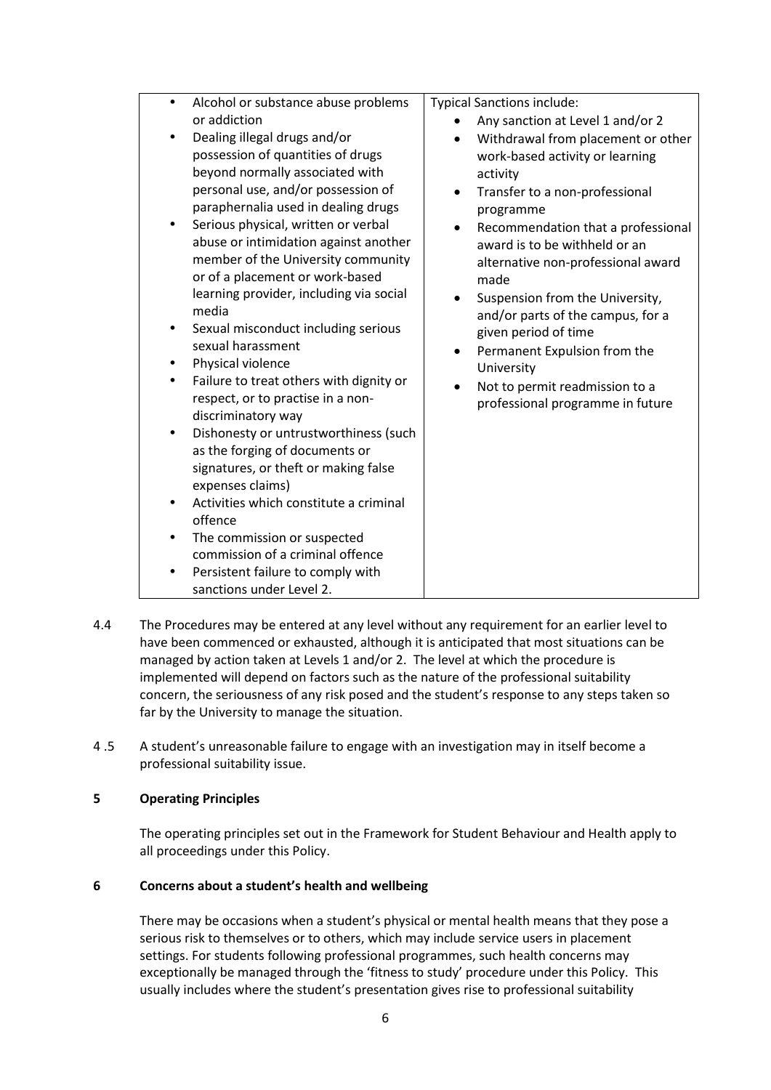| Alcohol or substance abuse problems<br>$\bullet$<br>or addiction<br>Dealing illegal drugs and/or<br>possession of quantities of drugs<br>beyond normally associated with<br>personal use, and/or possession of<br>paraphernalia used in dealing drugs<br>Serious physical, written or verbal<br>$\bullet$<br>abuse or intimidation against another<br>member of the University community<br>or of a placement or work-based<br>learning provider, including via social<br>media<br>Sexual misconduct including serious<br>sexual harassment<br>Physical violence<br>٠<br>Failure to treat others with dignity or<br>$\bullet$<br>respect, or to practise in a non-<br>discriminatory way<br>Dishonesty or untrustworthiness (such<br>٠<br>as the forging of documents or<br>signatures, or theft or making false<br>expenses claims)<br>Activities which constitute a criminal<br>$\bullet$<br>offence<br>The commission or suspected<br>$\bullet$<br>commission of a criminal offence<br>Persistent failure to comply with<br>$\bullet$<br>sanctions under Level 2. | <b>Typical Sanctions include:</b><br>Any sanction at Level 1 and/or 2<br>Withdrawal from placement or other<br>work-based activity or learning<br>activity<br>Transfer to a non-professional<br>programme<br>Recommendation that a professional<br>award is to be withheld or an<br>alternative non-professional award<br>made<br>Suspension from the University,<br>$\bullet$<br>and/or parts of the campus, for a<br>given period of time<br>Permanent Expulsion from the<br>$\bullet$<br>University<br>Not to permit readmission to a<br>$\bullet$<br>professional programme in future |
|----------------------------------------------------------------------------------------------------------------------------------------------------------------------------------------------------------------------------------------------------------------------------------------------------------------------------------------------------------------------------------------------------------------------------------------------------------------------------------------------------------------------------------------------------------------------------------------------------------------------------------------------------------------------------------------------------------------------------------------------------------------------------------------------------------------------------------------------------------------------------------------------------------------------------------------------------------------------------------------------------------------------------------------------------------------------|-------------------------------------------------------------------------------------------------------------------------------------------------------------------------------------------------------------------------------------------------------------------------------------------------------------------------------------------------------------------------------------------------------------------------------------------------------------------------------------------------------------------------------------------------------------------------------------------|

- 4.4 The Procedures may be entered at any level without any requirement for an earlier level to have been commenced or exhausted, although it is anticipated that most situations can be managed by action taken at Levels 1 and/or 2. The level at which the procedure is implemented will depend on factors such as the nature of the professional suitability concern, the seriousness of any risk posed and the student's response to any steps taken so far by the University to manage the situation.
- 4 .5 A student's unreasonable failure to engage with an investigation may in itself become a professional suitability issue.

### **5 Operating Principles**

The operating principles set out in the Framework for Student Behaviour and Health apply to all proceedings under this Policy.

## **6 Concerns about a student's health and wellbeing**

There may be occasions when a student's physical or mental health means that they pose a serious risk to themselves or to others, which may include service users in placement settings. For students following professional programmes, such health concerns may exceptionally be managed through the 'fitness to study' procedure under this Policy. This usually includes where the student's presentation gives rise to professional suitability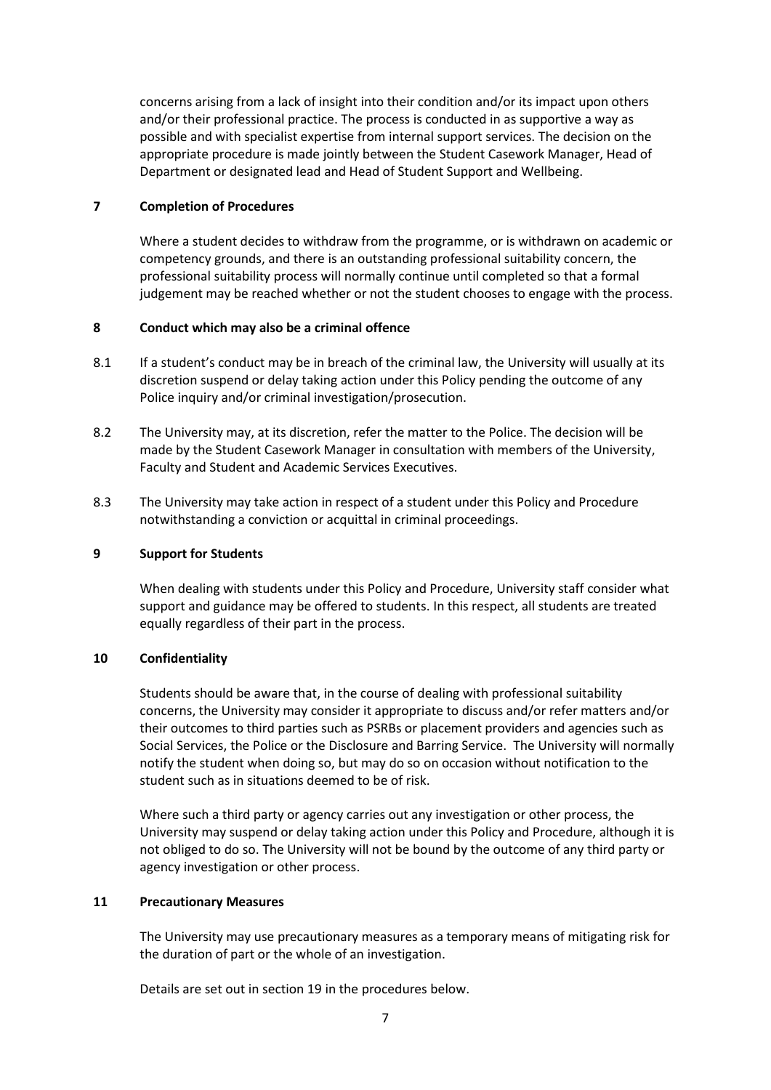concerns arising from a lack of insight into their condition and/or its impact upon others and/or their professional practice. The process is conducted in as supportive a way as possible and with specialist expertise from internal support services. The decision on the appropriate procedure is made jointly between the Student Casework Manager, Head of Department or designated lead and Head of Student Support and Wellbeing.

### **7 Completion of Procedures**

Where a student decides to withdraw from the programme, or is withdrawn on academic or competency grounds, and there is an outstanding professional suitability concern, the professional suitability process will normally continue until completed so that a formal judgement may be reached whether or not the student chooses to engage with the process.

## **8 Conduct which may also be a criminal offence**

- 8.1 If a student's conduct may be in breach of the criminal law, the University will usually at its discretion suspend or delay taking action under this Policy pending the outcome of any Police inquiry and/or criminal investigation/prosecution.
- 8.2 The University may, at its discretion, refer the matter to the Police. The decision will be made by the Student Casework Manager in consultation with members of the University, Faculty and Student and Academic Services Executives.
- 8.3 The University may take action in respect of a student under this Policy and Procedure notwithstanding a conviction or acquittal in criminal proceedings.

### **9 Support for Students**

When dealing with students under this Policy and Procedure, University staff consider what support and guidance may be offered to students. In this respect, all students are treated equally regardless of their part in the process.

### **10 Confidentiality**

Students should be aware that, in the course of dealing with professional suitability concerns, the University may consider it appropriate to discuss and/or refer matters and/or their outcomes to third parties such as PSRBs or placement providers and agencies such as Social Services, the Police or the Disclosure and Barring Service. The University will normally notify the student when doing so, but may do so on occasion without notification to the student such as in situations deemed to be of risk.

Where such a third party or agency carries out any investigation or other process, the University may suspend or delay taking action under this Policy and Procedure, although it is not obliged to do so. The University will not be bound by the outcome of any third party or agency investigation or other process.

### **11 Precautionary Measures**

The University may use precautionary measures as a temporary means of mitigating risk for the duration of part or the whole of an investigation.

Details are set out in section 19 in the procedures below.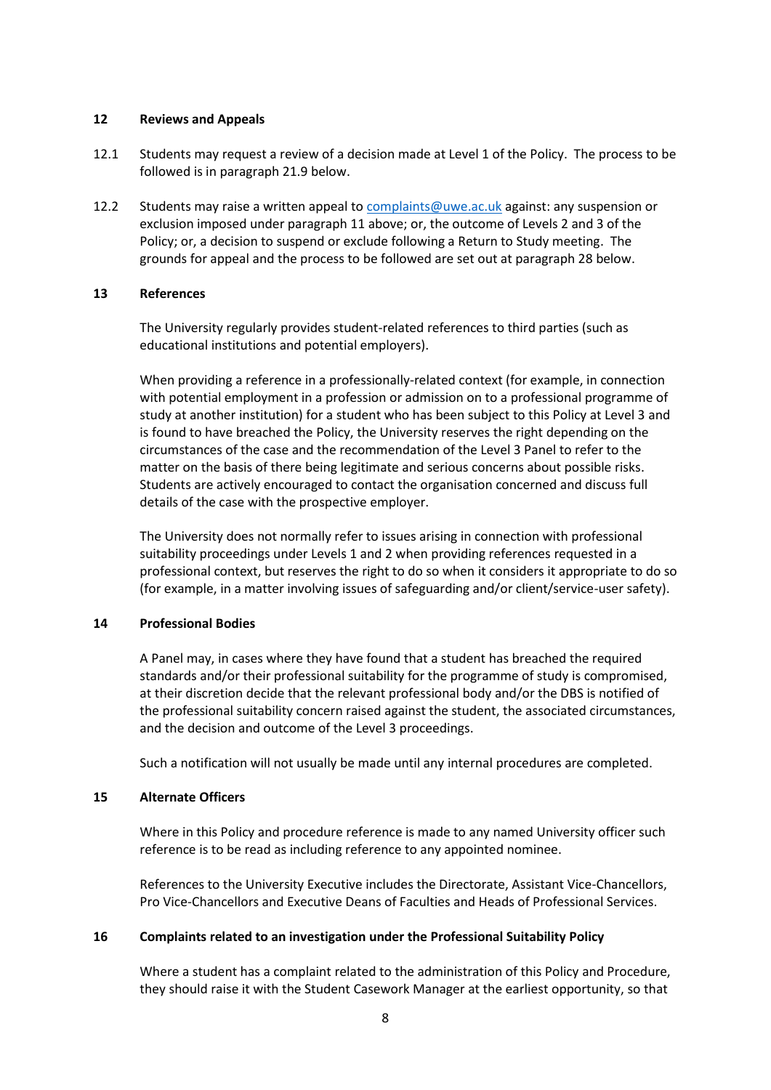#### **12 Reviews and Appeals**

- 12.1 Students may request a review of a decision made at Level 1 of the Policy. The process to be followed is in paragraph 21.9 below.
- 12.2 Students may raise a written appeal to [complaints@uwe.ac.uk](mailto:complaints@uwe.ac.uk) against: any suspension or exclusion imposed under paragraph 11 above; or, the outcome of Levels 2 and 3 of the Policy; or, a decision to suspend or exclude following a Return to Study meeting. The grounds for appeal and the process to be followed are set out at paragraph 28 below.

#### **13 References**

The University regularly provides student-related references to third parties (such as educational institutions and potential employers).

When providing a reference in a professionally-related context (for example, in connection with potential employment in a profession or admission on to a professional programme of study at another institution) for a student who has been subject to this Policy at Level 3 and is found to have breached the Policy, the University reserves the right depending on the circumstances of the case and the recommendation of the Level 3 Panel to refer to the matter on the basis of there being legitimate and serious concerns about possible risks. Students are actively encouraged to contact the organisation concerned and discuss full details of the case with the prospective employer.

The University does not normally refer to issues arising in connection with professional suitability proceedings under Levels 1 and 2 when providing references requested in a professional context, but reserves the right to do so when it considers it appropriate to do so (for example, in a matter involving issues of safeguarding and/or client/service-user safety).

### **14 Professional Bodies**

A Panel may, in cases where they have found that a student has breached the required standards and/or their professional suitability for the programme of study is compromised, at their discretion decide that the relevant professional body and/or the DBS is notified of the professional suitability concern raised against the student, the associated circumstances, and the decision and outcome of the Level 3 proceedings.

Such a notification will not usually be made until any internal procedures are completed.

#### **15 Alternate Officers**

Where in this Policy and procedure reference is made to any named University officer such reference is to be read as including reference to any appointed nominee.

References to the University Executive includes the Directorate, Assistant Vice-Chancellors, Pro Vice-Chancellors and Executive Deans of Faculties and Heads of Professional Services.

#### **16 Complaints related to an investigation under the Professional Suitability Policy**

Where a student has a complaint related to the administration of this Policy and Procedure, they should raise it with the Student Casework Manager at the earliest opportunity, so that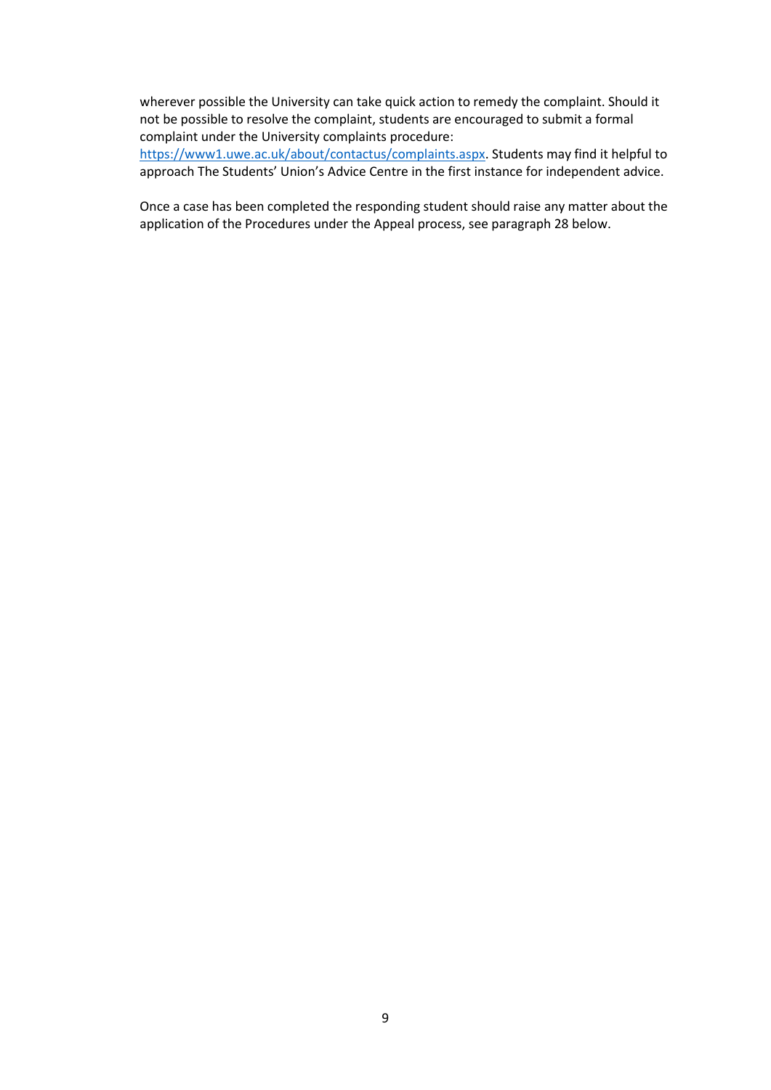wherever possible the University can take quick action to remedy the complaint. Should it not be possible to resolve the complaint, students are encouraged to submit a formal complaint under the University complaints procedure:

[https://www1.uwe.ac.uk/about/contactus/complaints.aspx.](https://www1.uwe.ac.uk/about/contactus/complaints.aspx) Students may find it helpful to approach The Students' Union's Advice Centre in the first instance for independent advice.

Once a case has been completed the responding student should raise any matter about the application of the Procedures under the Appeal process, see paragraph 28 below.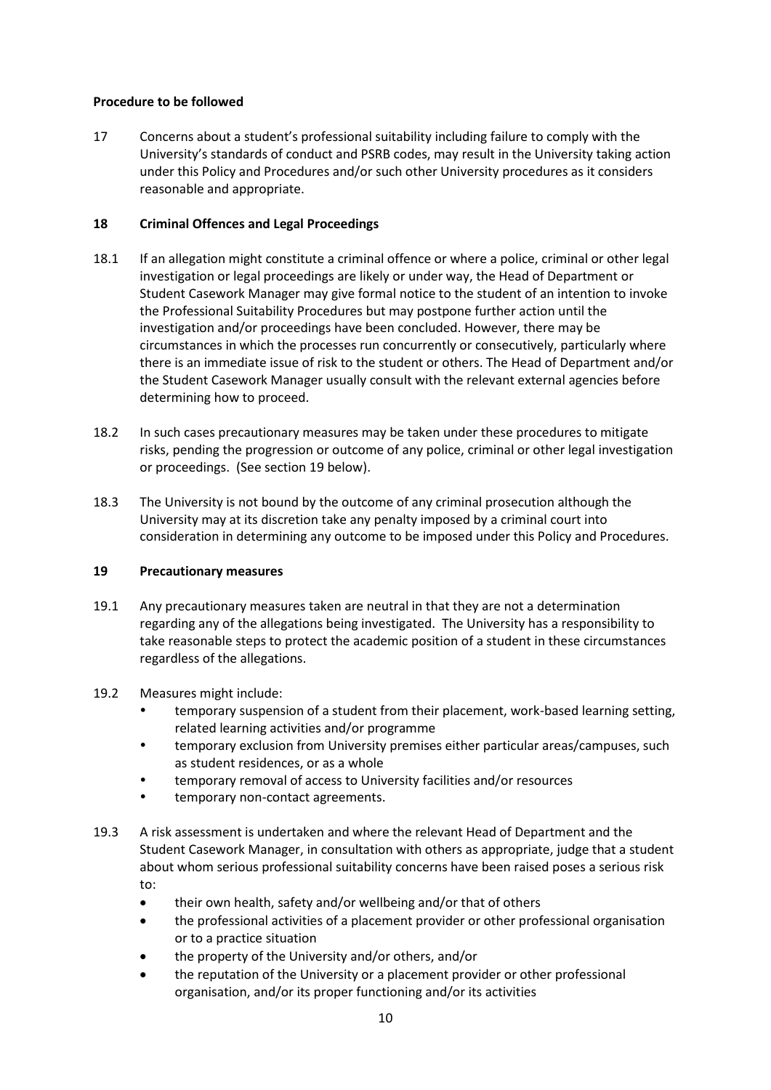### **Procedure to be followed**

17 Concerns about a student's professional suitability including failure to comply with the University's standards of conduct and PSRB codes, may result in the University taking action under this Policy and Procedures and/or such other University procedures as it considers reasonable and appropriate.

# **18 Criminal Offences and Legal Proceedings**

- 18.1 If an allegation might constitute a criminal offence or where a police, criminal or other legal investigation or legal proceedings are likely or under way, the Head of Department or Student Casework Manager may give formal notice to the student of an intention to invoke the Professional Suitability Procedures but may postpone further action until the investigation and/or proceedings have been concluded. However, there may be circumstances in which the processes run concurrently or consecutively, particularly where there is an immediate issue of risk to the student or others. The Head of Department and/or the Student Casework Manager usually consult with the relevant external agencies before determining how to proceed.
- 18.2 In such cases precautionary measures may be taken under these procedures to mitigate risks, pending the progression or outcome of any police, criminal or other legal investigation or proceedings. (See section 19 below).
- 18.3 The University is not bound by the outcome of any criminal prosecution although the University may at its discretion take any penalty imposed by a criminal court into consideration in determining any outcome to be imposed under this Policy and Procedures.

### **19 Precautionary measures**

19.1 Any precautionary measures taken are neutral in that they are not a determination regarding any of the allegations being investigated. The University has a responsibility to take reasonable steps to protect the academic position of a student in these circumstances regardless of the allegations.

### 19.2 Measures might include:

- temporary suspension of a student from their placement, work-based learning setting, related learning activities and/or programme
- temporary exclusion from University premises either particular areas/campuses, such as student residences, or as a whole
- temporary removal of access to University facilities and/or resources
- temporary non-contact agreements.
- 19.3 A risk assessment is undertaken and where the relevant Head of Department and the Student Casework Manager, in consultation with others as appropriate, judge that a student about whom serious professional suitability concerns have been raised poses a serious risk to:
	- their own health, safety and/or wellbeing and/or that of others
	- the professional activities of a placement provider or other professional organisation or to a practice situation
	- the property of the University and/or others, and/or
	- the reputation of the University or a placement provider or other professional organisation, and/or its proper functioning and/or its activities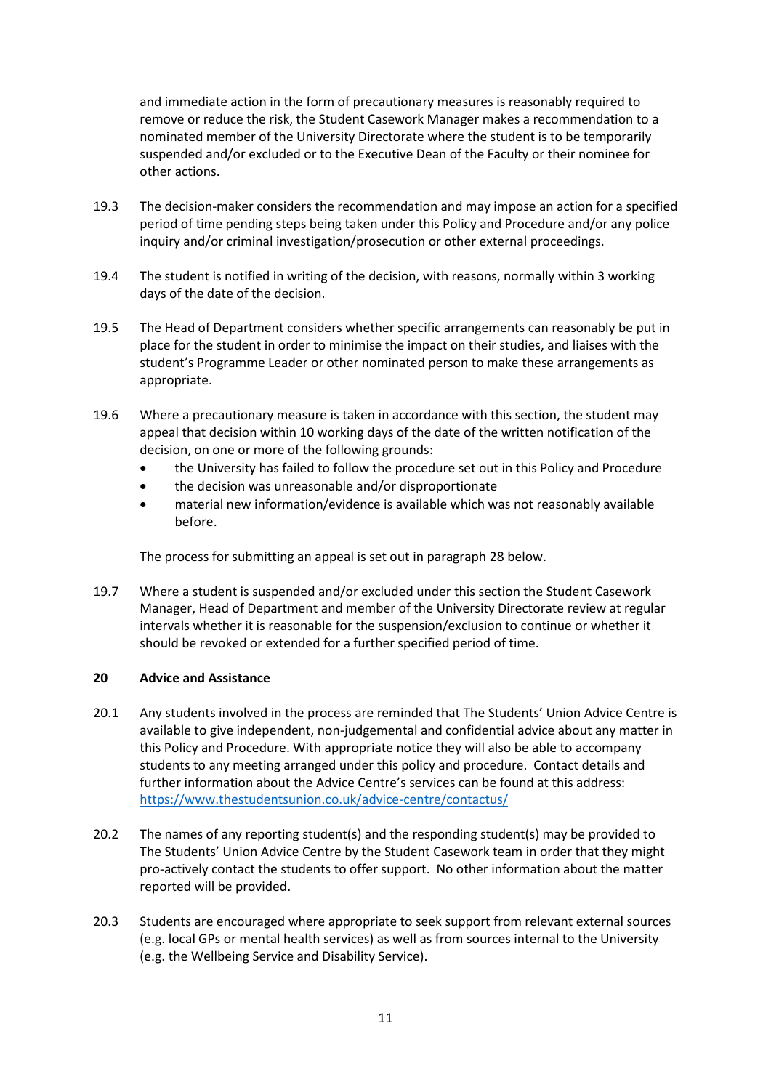and immediate action in the form of precautionary measures is reasonably required to remove or reduce the risk, the Student Casework Manager makes a recommendation to a nominated member of the University Directorate where the student is to be temporarily suspended and/or excluded or to the Executive Dean of the Faculty or their nominee for other actions.

- 19.3 The decision-maker considers the recommendation and may impose an action for a specified period of time pending steps being taken under this Policy and Procedure and/or any police inquiry and/or criminal investigation/prosecution or other external proceedings.
- 19.4 The student is notified in writing of the decision, with reasons, normally within 3 working days of the date of the decision.
- 19.5 The Head of Department considers whether specific arrangements can reasonably be put in place for the student in order to minimise the impact on their studies, and liaises with the student's Programme Leader or other nominated person to make these arrangements as appropriate.
- 19.6 Where a precautionary measure is taken in accordance with this section, the student may appeal that decision within 10 working days of the date of the written notification of the decision, on one or more of the following grounds:
	- the University has failed to follow the procedure set out in this Policy and Procedure
	- the decision was unreasonable and/or disproportionate
	- material new information/evidence is available which was not reasonably available before.

The process for submitting an appeal is set out in paragraph 28 below.

19.7 Where a student is suspended and/or excluded under this section the Student Casework Manager, Head of Department and member of the University Directorate review at regular intervals whether it is reasonable for the suspension/exclusion to continue or whether it should be revoked or extended for a further specified period of time.

### **20 Advice and Assistance**

- 20.1 Any students involved in the process are reminded that The Students' Union Advice Centre is available to give independent, non-judgemental and confidential advice about any matter in this Policy and Procedure. With appropriate notice they will also be able to accompany students to any meeting arranged under this policy and procedure. Contact details and further information about the Advice Centre's services can be found at this address: <https://www.thestudentsunion.co.uk/advice-centre/contactus/>
- 20.2 The names of any reporting student(s) and the responding student(s) may be provided to The Students' Union Advice Centre by the Student Casework team in order that they might pro-actively contact the students to offer support. No other information about the matter reported will be provided.
- 20.3 Students are encouraged where appropriate to seek support from relevant external sources (e.g. local GPs or mental health services) as well as from sources internal to the University (e.g. the Wellbeing Service and Disability Service).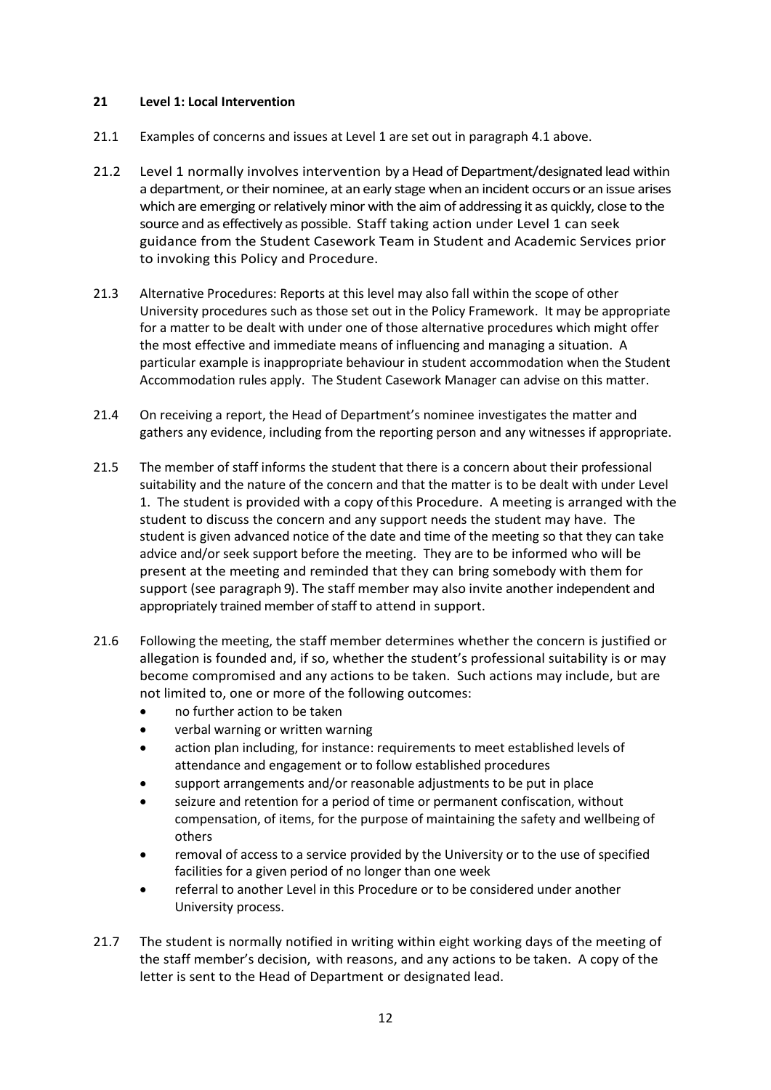### **21 Level 1: Local Intervention**

- 21.1 Examples of concerns and issues at Level 1 are set out in paragraph 4.1 above.
- 21.2 Level 1 normally involves intervention by a Head of Department/designated lead within a department, or their nominee, at an early stage when an incident occurs or an issue arises which are emerging or relatively minor with the aim of addressing it as quickly, close to the source and as effectively as possible. Staff taking action under Level 1 can seek guidance from the Student Casework Team in Student and Academic Services prior to invoking this Policy and Procedure.
- 21.3 Alternative Procedures: Reports at this level may also fall within the scope of other University procedures such as those set out in the Policy Framework. It may be appropriate for a matter to be dealt with under one of those alternative procedures which might offer the most effective and immediate means of influencing and managing a situation. A particular example is inappropriate behaviour in student accommodation when the Student Accommodation rules apply. The Student Casework Manager can advise on this matter.
- 21.4 On receiving a report, the Head of Department's nominee investigates the matter and gathers any evidence, including from the reporting person and any witnesses if appropriate.
- 21.5 The member of staff informs the student that there is a concern about their professional suitability and the nature of the concern and that the matter is to be dealt with under Level 1. The student is provided with a copy ofthis Procedure. A meeting is arranged with the student to discuss the concern and any support needs the student may have. The student is given advanced notice of the date and time of the meeting so that they can take advice and/or seek support before the meeting. They are to be informed who will be present at the meeting and reminded that they can bring somebody with them for support (see paragraph 9). The staff member may also invite another independent and appropriately trained member of staff to attend in support.
- 21.6 Following the meeting, the staff member determines whether the concern is justified or allegation is founded and, if so, whether the student's professional suitability is or may become compromised and any actions to be taken. Such actions may include, but are not limited to, one or more of the following outcomes:
	- no further action to be taken
	- verbal warning or written warning
	- action plan including, for instance: requirements to meet established levels of attendance and engagement or to follow established procedures
	- support arrangements and/or reasonable adjustments to be put in place
	- seizure and retention for a period of time or permanent confiscation, without compensation, of items, for the purpose of maintaining the safety and wellbeing of others
	- removal of access to a service provided by the University or to the use of specified facilities for a given period of no longer than one week
	- referral to another Level in this Procedure or to be considered under another University process.
- 21.7 The student is normally notified in writing within eight working days of the meeting of the staff member's decision, with reasons, and any actions to be taken. A copy of the letter is sent to the Head of Department or designated lead.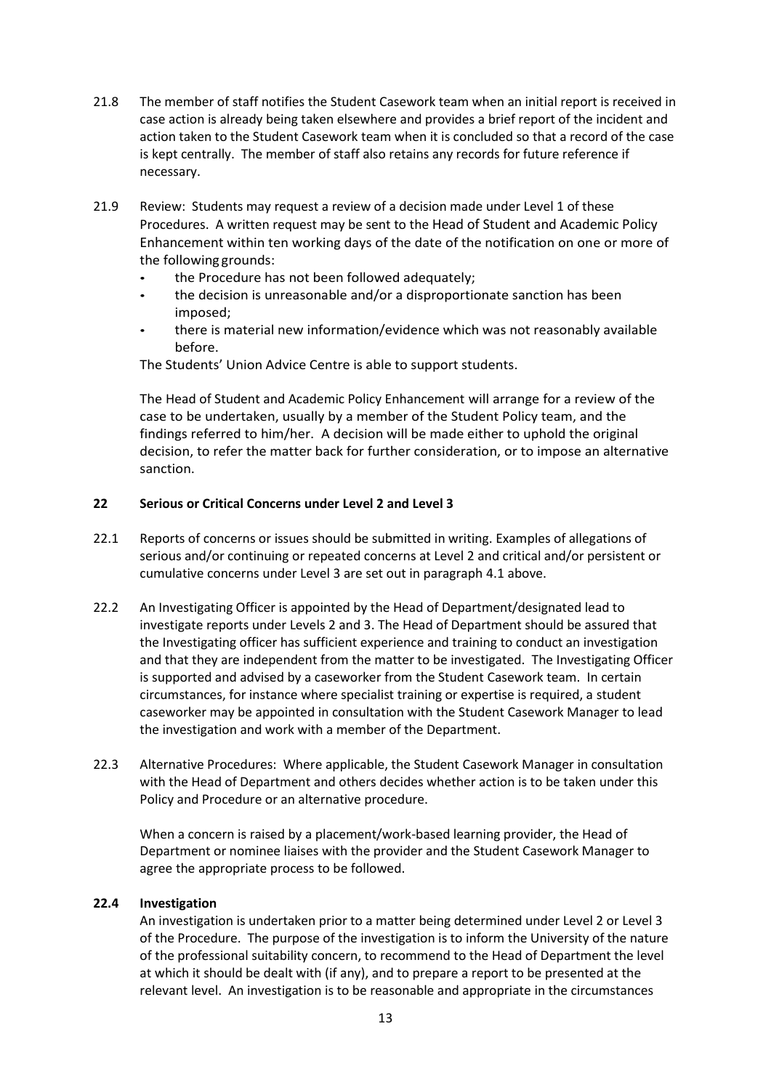- 21.8 The member of staff notifies the Student Casework team when an initial report is received in case action is already being taken elsewhere and provides a brief report of the incident and action taken to the Student Casework team when it is concluded so that a record of the case is kept centrally. The member of staff also retains any records for future reference if necessary.
- 21.9 Review: Students may request a review of a decision made under Level 1 of these Procedures. A written request may be sent to the Head of Student and Academic Policy Enhancement within ten working days of the date of the notification on one or more of the following grounds:
	- the Procedure has not been followed adequately;
	- the decision is unreasonable and/or a disproportionate sanction has been imposed;
	- there is material new information/evidence which was not reasonably available before.

The Students' Union Advice Centre is able to support students.

The Head of Student and Academic Policy Enhancement will arrange for a review of the case to be undertaken, usually by a member of the Student Policy team, and the findings referred to him/her. A decision will be made either to uphold the original decision, to refer the matter back for further consideration, or to impose an alternative sanction.

## **22 Serious or Critical Concerns under Level 2 and Level 3**

- 22.1 Reports of concerns or issues should be submitted in writing. Examples of allegations of serious and/or continuing or repeated concerns at Level 2 and critical and/or persistent or cumulative concerns under Level 3 are set out in paragraph 4.1 above.
- 22.2 An Investigating Officer is appointed by the Head of Department/designated lead to investigate reports under Levels 2 and 3. The Head of Department should be assured that the Investigating officer has sufficient experience and training to conduct an investigation and that they are independent from the matter to be investigated. The Investigating Officer is supported and advised by a caseworker from the Student Casework team. In certain circumstances, for instance where specialist training or expertise is required, a student caseworker may be appointed in consultation with the Student Casework Manager to lead the investigation and work with a member of the Department.
- 22.3 Alternative Procedures: Where applicable, the Student Casework Manager in consultation with the Head of Department and others decides whether action is to be taken under this Policy and Procedure or an alternative procedure.

When a concern is raised by a placement/work-based learning provider, the Head of Department or nominee liaises with the provider and the Student Casework Manager to agree the appropriate process to be followed.

### **22.4 Investigation**

An investigation is undertaken prior to a matter being determined under Level 2 or Level 3 of the Procedure. The purpose of the investigation is to inform the University of the nature of the professional suitability concern, to recommend to the Head of Department the level at which it should be dealt with (if any), and to prepare a report to be presented at the relevant level. An investigation is to be reasonable and appropriate in the circumstances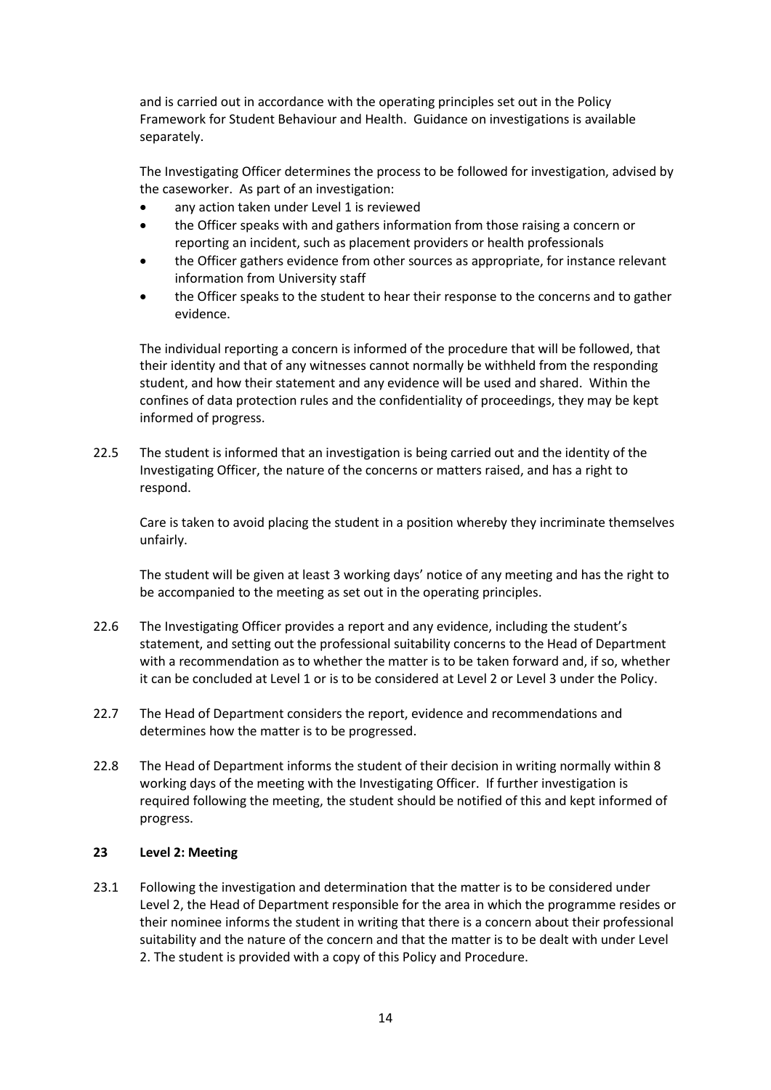and is carried out in accordance with the operating principles set out in the Policy Framework for Student Behaviour and Health. Guidance on investigations is available separately.

The Investigating Officer determines the process to be followed for investigation, advised by the caseworker. As part of an investigation:

- any action taken under Level 1 is reviewed
- the Officer speaks with and gathers information from those raising a concern or reporting an incident, such as placement providers or health professionals
- the Officer gathers evidence from other sources as appropriate, for instance relevant information from University staff
- the Officer speaks to the student to hear their response to the concerns and to gather evidence.

The individual reporting a concern is informed of the procedure that will be followed, that their identity and that of any witnesses cannot normally be withheld from the responding student, and how their statement and any evidence will be used and shared. Within the confines of data protection rules and the confidentiality of proceedings, they may be kept informed of progress.

22.5 The student is informed that an investigation is being carried out and the identity of the Investigating Officer, the nature of the concerns or matters raised, and has a right to respond.

Care is taken to avoid placing the student in a position whereby they incriminate themselves unfairly.

The student will be given at least 3 working days' notice of any meeting and has the right to be accompanied to the meeting as set out in the operating principles.

- 22.6 The Investigating Officer provides a report and any evidence, including the student's statement, and setting out the professional suitability concerns to the Head of Department with a recommendation as to whether the matter is to be taken forward and, if so, whether it can be concluded at Level 1 or is to be considered at Level 2 or Level 3 under the Policy.
- 22.7 The Head of Department considers the report, evidence and recommendations and determines how the matter is to be progressed.
- 22.8 The Head of Department informs the student of their decision in writing normally within 8 working days of the meeting with the Investigating Officer. If further investigation is required following the meeting, the student should be notified of this and kept informed of progress.

### **23 Level 2: Meeting**

23.1 Following the investigation and determination that the matter is to be considered under Level 2, the Head of Department responsible for the area in which the programme resides or their nominee informs the student in writing that there is a concern about their professional suitability and the nature of the concern and that the matter is to be dealt with under Level 2. The student is provided with a copy of this Policy and Procedure.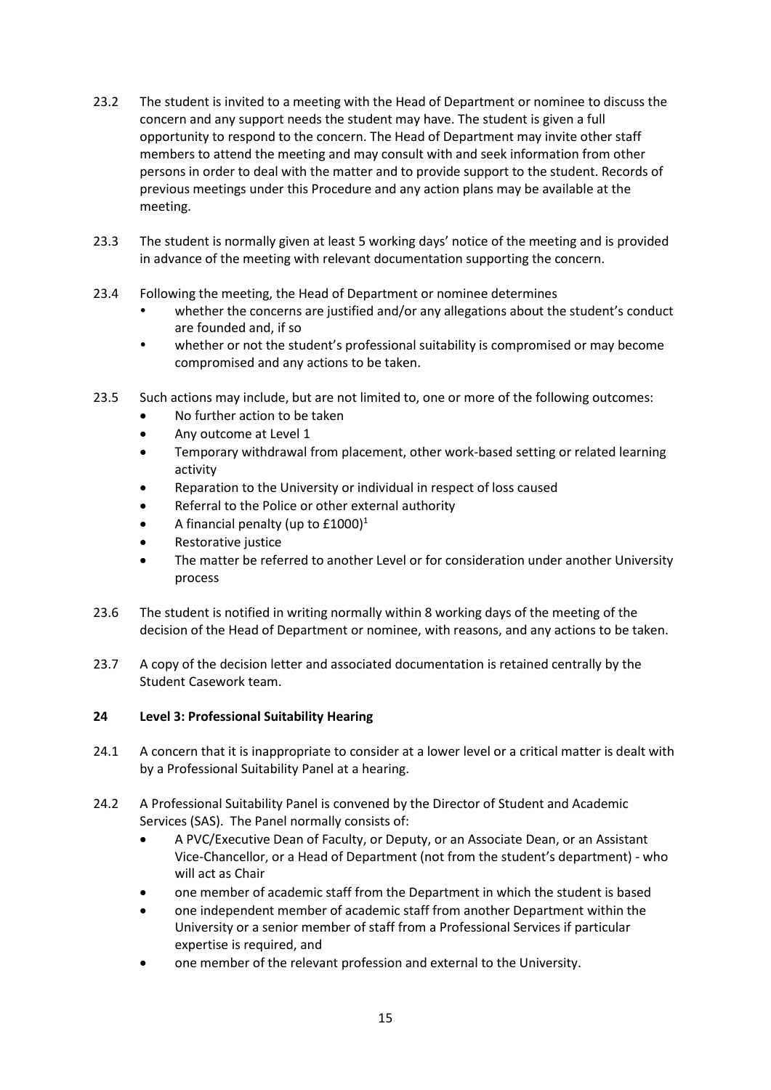- 23.2 The student is invited to a meeting with the Head of Department or nominee to discuss the concern and any support needs the student may have. The student is given a full opportunity to respond to the concern. The Head of Department may invite other staff members to attend the meeting and may consult with and seek information from other persons in order to deal with the matter and to provide support to the student. Records of previous meetings under this Procedure and any action plans may be available at the meeting.
- 23.3 The student is normally given at least 5 working days' notice of the meeting and is provided in advance of the meeting with relevant documentation supporting the concern.
- 23.4 Following the meeting, the Head of Department or nominee determines
	- whether the concerns are justified and/or any allegations about the student's conduct are founded and, if so
	- whether or not the student's professional suitability is compromised or may become compromised and any actions to be taken.
- 23.5 Such actions may include, but are not limited to, one or more of the following outcomes:
	- No further action to be taken
	- Any outcome at Level 1
	- Temporary withdrawal from placement, other work-based setting or related learning activity
	- Reparation to the University or individual in respect of loss caused
	- Referral to the Police or other external authority
	- A financial penalty (up to  $£1000$ )<sup>1</sup>
	- Restorative justice
	- The matter be referred to another Level or for consideration under another University process
- 23.6 The student is notified in writing normally within 8 working days of the meeting of the decision of the Head of Department or nominee, with reasons, and any actions to be taken.
- 23.7 A copy of the decision letter and associated documentation is retained centrally by the Student Casework team.

# **24 Level 3: Professional Suitability Hearing**

- 24.1 A concern that it is inappropriate to consider at a lower level or a critical matter is dealt with by a Professional Suitability Panel at a hearing.
- 24.2 A Professional Suitability Panel is convened by the Director of Student and Academic Services (SAS). The Panel normally consists of:
	- A PVC/Executive Dean of Faculty, or Deputy, or an Associate Dean, or an Assistant Vice-Chancellor, or a Head of Department (not from the student's department) - who will act as Chair
	- one member of academic staff from the Department in which the student is based
	- one independent member of academic staff from another Department within the University or a senior member of staff from a Professional Services if particular expertise is required, and
	- one member of the relevant profession and external to the University.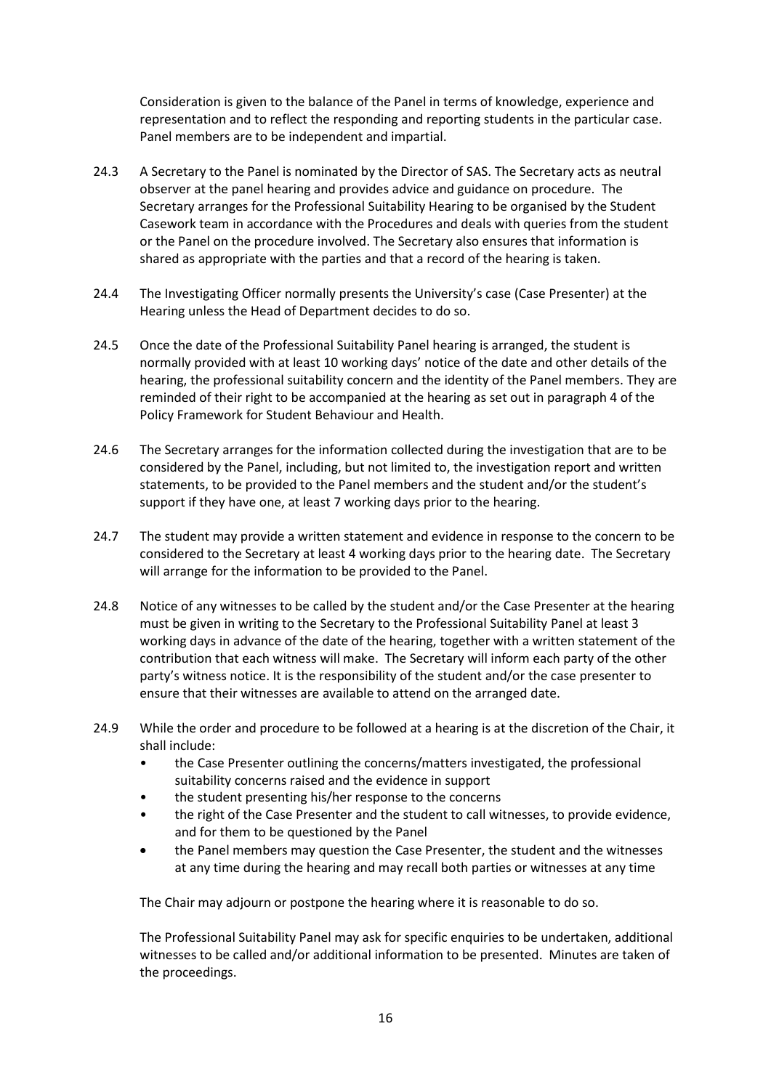Consideration is given to the balance of the Panel in terms of knowledge, experience and representation and to reflect the responding and reporting students in the particular case. Panel members are to be independent and impartial.

- 24.3 A Secretary to the Panel is nominated by the Director of SAS. The Secretary acts as neutral observer at the panel hearing and provides advice and guidance on procedure. The Secretary arranges for the Professional Suitability Hearing to be organised by the Student Casework team in accordance with the Procedures and deals with queries from the student or the Panel on the procedure involved. The Secretary also ensures that information is shared as appropriate with the parties and that a record of the hearing is taken.
- 24.4 The Investigating Officer normally presents the University's case (Case Presenter) at the Hearing unless the Head of Department decides to do so.
- 24.5 Once the date of the Professional Suitability Panel hearing is arranged, the student is normally provided with at least 10 working days' notice of the date and other details of the hearing, the professional suitability concern and the identity of the Panel members. They are reminded of their right to be accompanied at the hearing as set out in paragraph 4 of the Policy Framework for Student Behaviour and Health.
- 24.6 The Secretary arranges for the information collected during the investigation that are to be considered by the Panel, including, but not limited to, the investigation report and written statements, to be provided to the Panel members and the student and/or the student's support if they have one, at least 7 working days prior to the hearing.
- 24.7 The student may provide a written statement and evidence in response to the concern to be considered to the Secretary at least 4 working days prior to the hearing date. The Secretary will arrange for the information to be provided to the Panel.
- 24.8 Notice of any witnesses to be called by the student and/or the Case Presenter at the hearing must be given in writing to the Secretary to the Professional Suitability Panel at least 3 working days in advance of the date of the hearing, together with a written statement of the contribution that each witness will make. The Secretary will inform each party of the other party's witness notice. It is the responsibility of the student and/or the case presenter to ensure that their witnesses are available to attend on the arranged date.
- 24.9 While the order and procedure to be followed at a hearing is at the discretion of the Chair, it shall include:
	- the Case Presenter outlining the concerns/matters investigated, the professional suitability concerns raised and the evidence in support
	- the student presenting his/her response to the concerns
	- the right of the Case Presenter and the student to call witnesses, to provide evidence, and for them to be questioned by the Panel
	- the Panel members may question the Case Presenter, the student and the witnesses at any time during the hearing and may recall both parties or witnesses at any time

The Chair may adjourn or postpone the hearing where it is reasonable to do so.

The Professional Suitability Panel may ask for specific enquiries to be undertaken, additional witnesses to be called and/or additional information to be presented. Minutes are taken of the proceedings.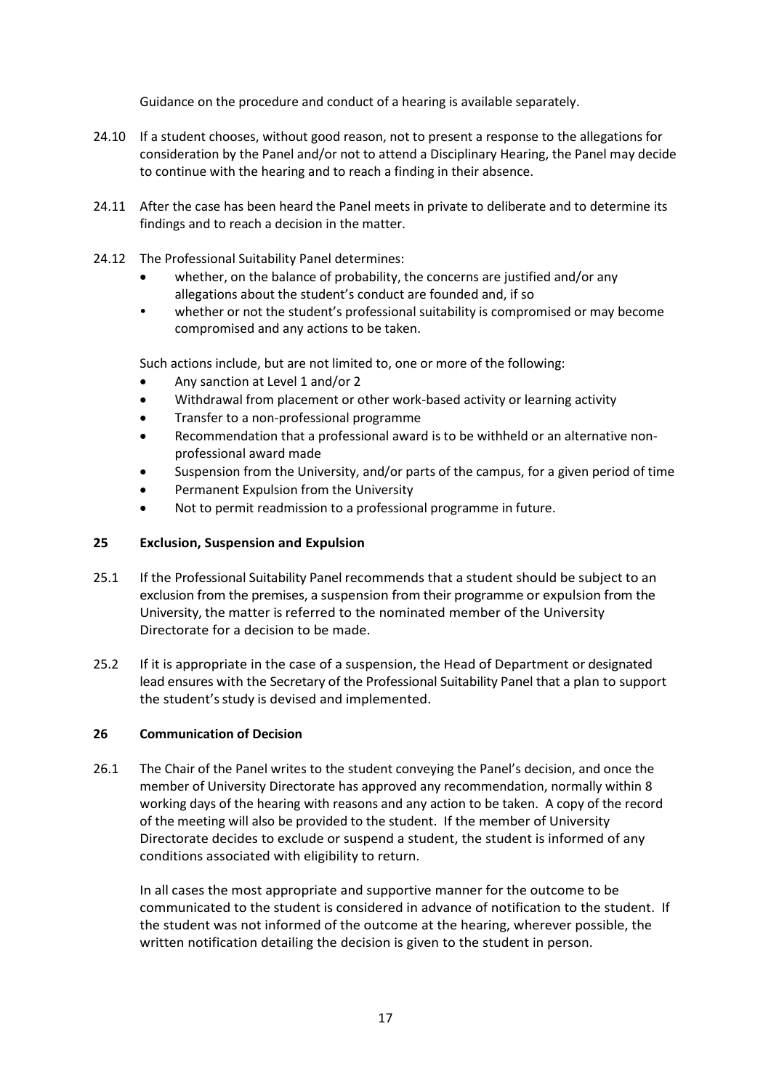Guidance on the procedure and conduct of a hearing is available separately.

- 24.10 If a student chooses, without good reason, not to present a response to the allegations for consideration by the Panel and/or not to attend a Disciplinary Hearing, the Panel may decide to continue with the hearing and to reach a finding in their absence.
- 24.11 After the case has been heard the Panel meets in private to deliberate and to determine its findings and to reach a decision in the matter.
- 24.12 The Professional Suitability Panel determines:
	- whether, on the balance of probability, the concerns are justified and/or any allegations about the student's conduct are founded and, if so
	- whether or not the student's professional suitability is compromised or may become compromised and any actions to be taken.

Such actions include, but are not limited to, one or more of the following:

- Any sanction at Level 1 and/or 2
- Withdrawal from placement or other work-based activity or learning activity
- Transfer to a non-professional programme
- Recommendation that a professional award is to be withheld or an alternative nonprofessional award made
- Suspension from the University, and/or parts of the campus, for a given period of time
- Permanent Expulsion from the University
- Not to permit readmission to a professional programme in future.

### **25 Exclusion, Suspension and Expulsion**

- 25.1 If the Professional Suitability Panel recommends that a student should be subject to an exclusion from the premises, a suspension from their programme or expulsion from the University, the matter is referred to the nominated member of the University Directorate for a decision to be made.
- 25.2 If it is appropriate in the case of a suspension, the Head of Department or designated lead ensures with the Secretary of the Professional Suitability Panel that a plan to support the student's study is devised and implemented.

### **26 Communication of Decision**

26.1 The Chair of the Panel writes to the student conveying the Panel's decision, and once the member of University Directorate has approved any recommendation, normally within 8 working days of the hearing with reasons and any action to be taken. A copy of the record of the meeting will also be provided to the student. If the member of University Directorate decides to exclude or suspend a student, the student is informed of any conditions associated with eligibility to return.

In all cases the most appropriate and supportive manner for the outcome to be communicated to the student is considered in advance of notification to the student. If the student was not informed of the outcome at the hearing, wherever possible, the written notification detailing the decision is given to the student in person.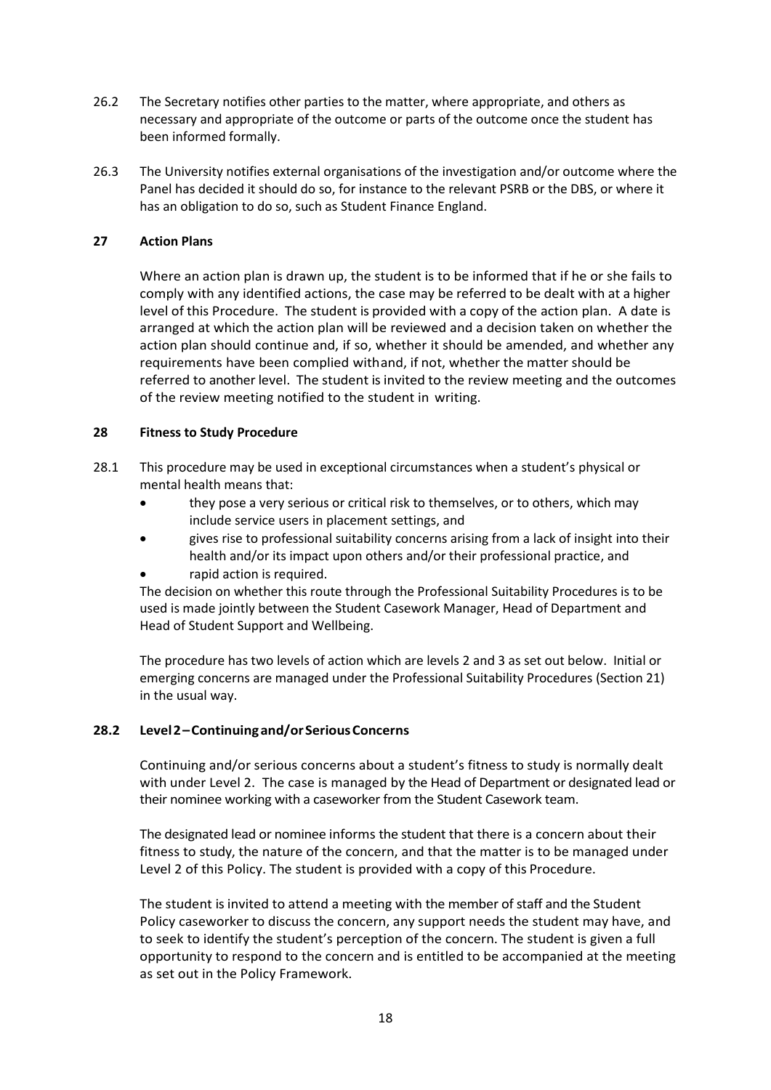- 26.2 The Secretary notifies other parties to the matter, where appropriate, and others as necessary and appropriate of the outcome or parts of the outcome once the student has been informed formally.
- 26.3 The University notifies external organisations of the investigation and/or outcome where the Panel has decided it should do so, for instance to the relevant PSRB or the DBS, or where it has an obligation to do so, such as Student Finance England.

## **27 Action Plans**

Where an action plan is drawn up, the student is to be informed that if he or she fails to comply with any identified actions, the case may be referred to be dealt with at a higher level of this Procedure. The student is provided with a copy of the action plan. A date is arranged at which the action plan will be reviewed and a decision taken on whether the action plan should continue and, if so, whether it should be amended, and whether any requirements have been complied withand, if not, whether the matter should be referred to another level. The student is invited to the review meeting and the outcomes of the review meeting notified to the student in writing.

### **28 Fitness to Study Procedure**

- 28.1 This procedure may be used in exceptional circumstances when a student's physical or mental health means that:
	- they pose a very serious or critical risk to themselves, or to others, which may include service users in placement settings, and
	- gives rise to professional suitability concerns arising from a lack of insight into their health and/or its impact upon others and/or their professional practice, and
	- rapid action is required.

The decision on whether this route through the Professional Suitability Procedures is to be used is made jointly between the Student Casework Manager, Head of Department and Head of Student Support and Wellbeing.

The procedure has two levels of action which are levels 2 and 3 as set out below. Initial or emerging concerns are managed under the Professional Suitability Procedures (Section 21) in the usual way.

# **28.2 Level2–Continuingand/orSeriousConcerns**

Continuing and/or serious concerns about a student's fitness to study is normally dealt with under Level 2. The case is managed by the Head of Department or designated lead or their nominee working with a caseworker from the Student Casework team.

The designated lead or nominee informs the student that there is a concern about their fitness to study, the nature of the concern, and that the matter is to be managed under Level 2 of this Policy. The student is provided with a copy of this Procedure.

The student is invited to attend a meeting with the member of staff and the Student Policy caseworker to discuss the concern, any support needs the student may have, and to seek to identify the student's perception of the concern. The student is given a full opportunity to respond to the concern and is entitled to be accompanied at the meeting as set out in the Policy Framework.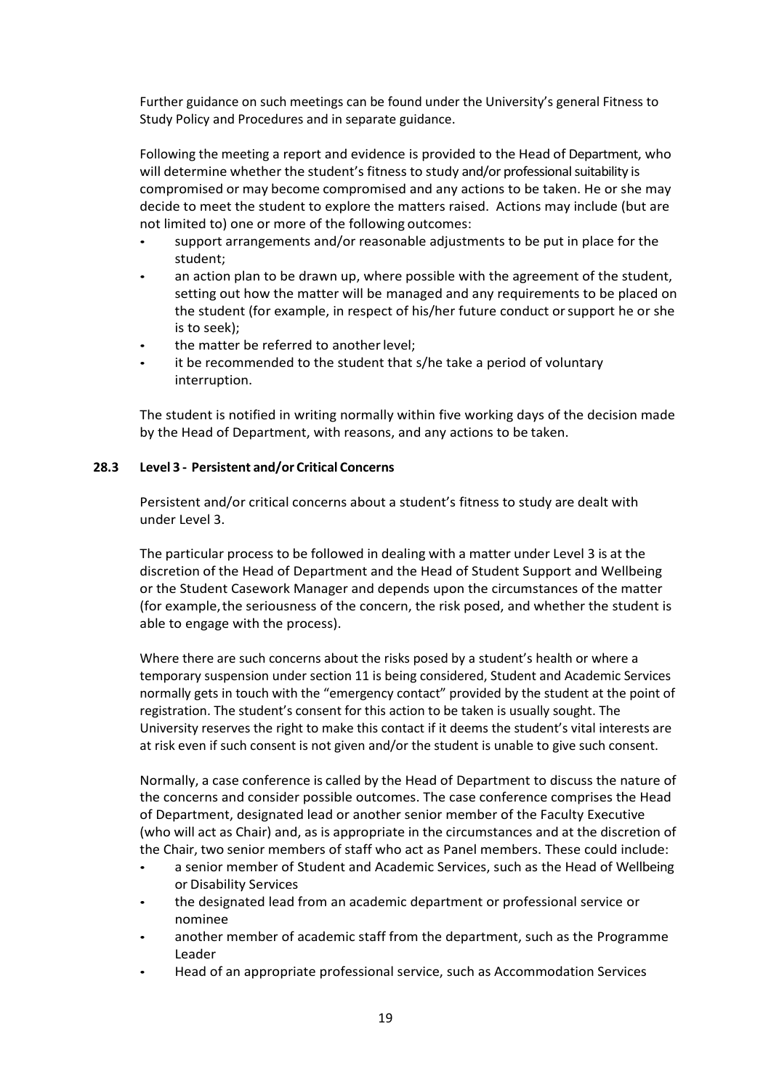Further guidance on such meetings can be found under the University's general Fitness to Study Policy and Procedures and in separate guidance.

Following the meeting a report and evidence is provided to the Head of Department, who will determine whether the student's fitness to study and/or professional suitability is compromised or may become compromised and any actions to be taken. He or she may decide to meet the student to explore the matters raised. Actions may include (but are not limited to) one or more of the following outcomes:

- support arrangements and/or reasonable adjustments to be put in place for the student;
- an action plan to be drawn up, where possible with the agreement of the student, setting out how the matter will be managed and any requirements to be placed on the student (for example, in respect of his/her future conduct orsupport he or she is to seek);
- the matter be referred to another level;
- it be recommended to the student that s/he take a period of voluntary interruption.

The student is notified in writing normally within five working days of the decision made by the Head of Department, with reasons, and any actions to be taken.

### **28.3 Level 3 - Persistent and/or Critical Concerns**

Persistent and/or critical concerns about a student's fitness to study are dealt with under Level 3.

The particular process to be followed in dealing with a matter under Level 3 is at the discretion of the Head of Department and the Head of Student Support and Wellbeing or the Student Casework Manager and depends upon the circumstances of the matter (for example,the seriousness of the concern, the risk posed, and whether the student is able to engage with the process).

Where there are such concerns about the risks posed by a student's health or where a temporary suspension under section 11 is being considered, Student and Academic Services normally gets in touch with the "emergency contact" provided by the student at the point of registration. The student's consent for this action to be taken is usually sought. The University reserves the right to make this contact if it deems the student's vital interests are at risk even if such consent is not given and/or the student is unable to give such consent.

Normally, a case conference is called by the Head of Department to discuss the nature of the concerns and consider possible outcomes. The case conference comprises the Head of Department, designated lead or another senior member of the Faculty Executive (who will act as Chair) and, as is appropriate in the circumstances and at the discretion of the Chair, two senior members of staff who act as Panel members. These could include:

- a senior member of Student and Academic Services, such as the Head of Wellbeing or Disability Services
- the designated lead from an academic department or professional service or nominee
- another member of academic staff from the department, such as the Programme Leader
- Head of an appropriate professional service, such as Accommodation Services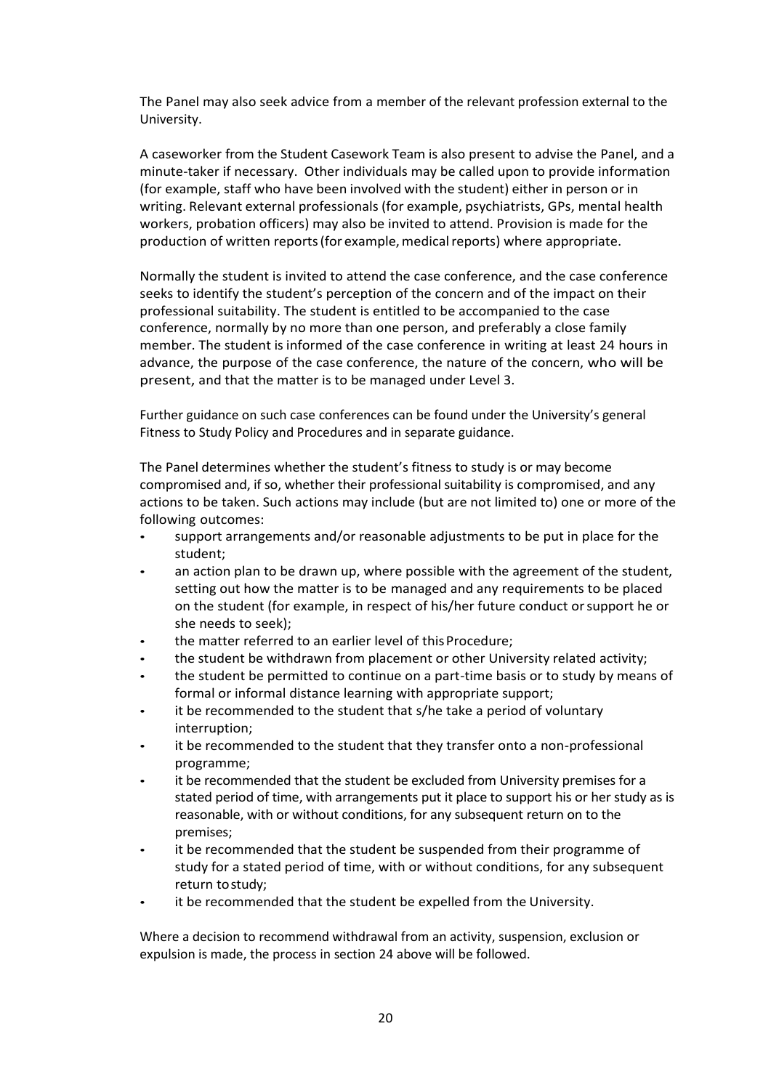The Panel may also seek advice from a member of the relevant profession external to the University.

A caseworker from the Student Casework Team is also present to advise the Panel, and a minute-taker if necessary. Other individuals may be called upon to provide information (for example, staff who have been involved with the student) either in person or in writing. Relevant external professionals (for example, psychiatrists, GPs, mental health workers, probation officers) may also be invited to attend. Provision is made for the production of written reports (for example, medical reports) where appropriate.

Normally the student is invited to attend the case conference, and the case conference seeks to identify the student's perception of the concern and of the impact on their professional suitability. The student is entitled to be accompanied to the case conference, normally by no more than one person, and preferably a close family member. The student is informed of the case conference in writing at least 24 hours in advance, the purpose of the case conference, the nature of the concern, who will be present, and that the matter is to be managed under Level 3.

Further guidance on such case conferences can be found under the University's general Fitness to Study Policy and Procedures and in separate guidance.

The Panel determines whether the student's fitness to study is or may become compromised and, if so, whether their professional suitability is compromised, and any actions to be taken. Such actions may include (but are not limited to) one or more of the following outcomes:

- support arrangements and/or reasonable adjustments to be put in place for the student;
- an action plan to be drawn up, where possible with the agreement of the student, setting out how the matter is to be managed and any requirements to be placed on the student (for example, in respect of his/her future conduct orsupport he or she needs to seek);
- the matter referred to an earlier level of this Procedure:
- the student be withdrawn from placement or other University related activity;
- the student be permitted to continue on a part-time basis or to study by means of formal or informal distance learning with appropriate support;
- it be recommended to the student that s/he take a period of voluntary interruption;
- it be recommended to the student that they transfer onto a non-professional programme;
- it be recommended that the student be excluded from University premises for a stated period of time, with arrangements put it place to support his or her study as is reasonable, with or without conditions, for any subsequent return on to the premises;
- it be recommended that the student be suspended from their programme of study for a stated period of time, with or without conditions, for any subsequent return tostudy;
- it be recommended that the student be expelled from the University.

Where a decision to recommend withdrawal from an activity, suspension, exclusion or expulsion is made, the process in section 24 above will be followed.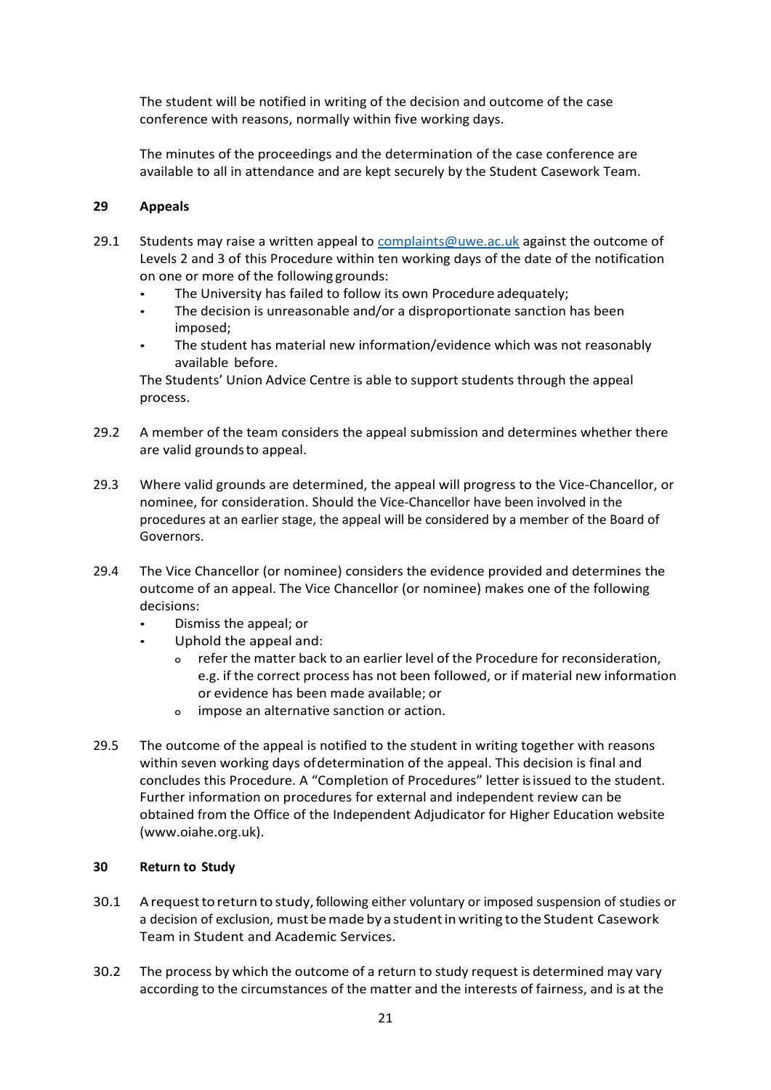The student will be notified in writing of the decision and outcome of the case conference with reasons, normally within five working days.

The minutes of the proceedings and the determination of the case conference are available to all in attendance and are kept securely by the Student Casework Team.

## **29 Appeals**

- 29.1 Students may raise a written appeal to [complaints@uwe.ac.uk](mailto:complaints@uwe.ac.uk) against the outcome of Levels 2 and 3 of this Procedure within ten working days of the date of the notification on one or more of the following grounds:
	- The University has failed to follow its own Procedure adequately;
	- The decision is unreasonable and/or a disproportionate sanction has been imposed;
	- The student has material new information/evidence which was not reasonably available before.

The Students' Union Advice Centre is able to support students through the appeal process.

- 29.2 A member of the team considers the appeal submission and determines whether there are valid groundsto appeal.
- 29.3 Where valid grounds are determined, the appeal will progress to the Vice-Chancellor, or nominee, for consideration. Should the Vice-Chancellor have been involved in the procedures at an earlier stage, the appeal will be considered by a member of the Board of Governors.
- 29.4 The Vice Chancellor (or nominee) considers the evidence provided and determines the outcome of an appeal. The Vice Chancellor (or nominee) makes one of the following decisions:
	- Dismiss the appeal; or
	- Uphold the appeal and:
		- o refer the matter back to an earlier level of the Procedure for reconsideration, e.g. if the correct process has not been followed, or if material new information or evidence has been made available; or
		- o impose an alternative sanction or action.
- 29.5 The outcome of the appeal is notified to the student in writing together with reasons within seven working days ofdetermination of the appeal. This decision is final and concludes this Procedure. A "Completion of Procedures" letter is issued to the student. Further information on procedures for external and independent review can be obtained from the Office of the Independent Adjudicator for Higher Education website (www.oiahe.org.uk).

### **30 Return to Study**

- 30.1 A request to return to study, following either voluntary or imposed suspension of studies or a decision of exclusion, must be made by a student in writing to the Student Casework Team in Student and Academic Services.
- 30.2 The process by which the outcome of a return to study request is determined may vary according to the circumstances of the matter and the interests of fairness, and is at the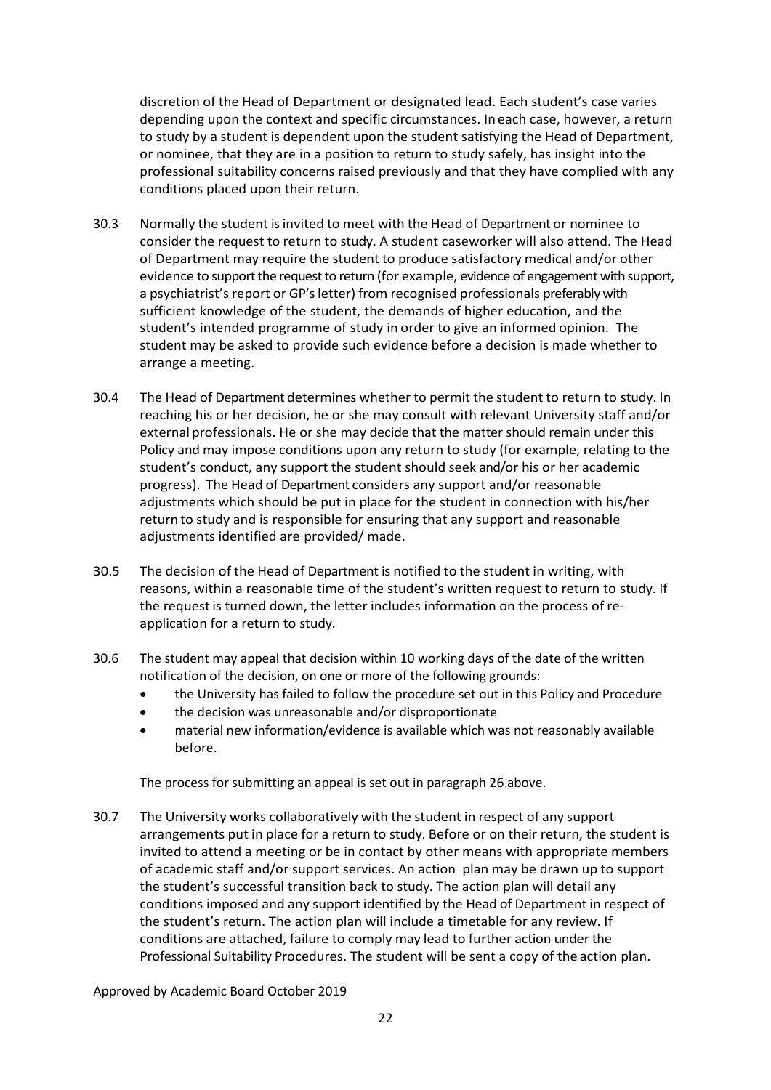discretion of the Head of Department or designated lead. Each student's case varies depending upon the context and specific circumstances. In each case, however, a return to study by a student is dependent upon the student satisfying the Head of Department, or nominee, that they are in a position to return to study safely, has insight into the professional suitability concerns raised previously and that they have complied with any conditions placed upon their return.

- 30.3 Normally the student is invited to meet with the Head of Department or nominee to consider the request to return to study. A student caseworker will also attend. The Head of Department may require the student to produce satisfactory medical and/or other evidence to support the request to return (for example, evidence of engagement with support, a psychiatrist's report or GP's letter) from recognised professionals preferably with sufficient knowledge of the student, the demands of higher education, and the student's intended programme of study in order to give an informed opinion. The student may be asked to provide such evidence before a decision is made whether to arrange a meeting.
- 30.4 The Head of Department determines whether to permit the student to return to study. In reaching his or her decision, he or she may consult with relevant University staff and/or external professionals. He or she may decide that the matter should remain under this Policy and may impose conditions upon any return to study (for example, relating to the student's conduct, any support the student should seek and/or his or her academic progress). The Head of Department considers any support and/or reasonable adjustments which should be put in place for the student in connection with his/her return to study and is responsible for ensuring that any support and reasonable adjustments identified are provided/ made.
- 30.5 The decision of the Head of Department is notified to the student in writing, with reasons, within a reasonable time of the student's written request to return to study. If the requestis turned down, the letter includes information on the process of reapplication for a return to study.
- 30.6 The student may appeal that decision within 10 working days of the date of the written notification of the decision, on one or more of the following grounds:
	- the University has failed to follow the procedure set out in this Policy and Procedure
	- the decision was unreasonable and/or disproportionate
	- material new information/evidence is available which was not reasonably available before.

The process for submitting an appeal is set out in paragraph 26 above.

30.7 The University works collaboratively with the student in respect of any support arrangements put in place for a return to study. Before or on their return, the student is invited to attend a meeting or be in contact by other means with appropriate members of academic staff and/or support services. An action plan may be drawn up to support the student's successful transition back to study. The action plan will detail any conditions imposed and any support identified by the Head of Department in respect of the student's return. The action plan will include a timetable for any review. If conditions are attached, failure to comply may lead to further action under the Professional Suitability Procedures. The student will be sent a copy of the action plan.

Approved by Academic Board October 2019